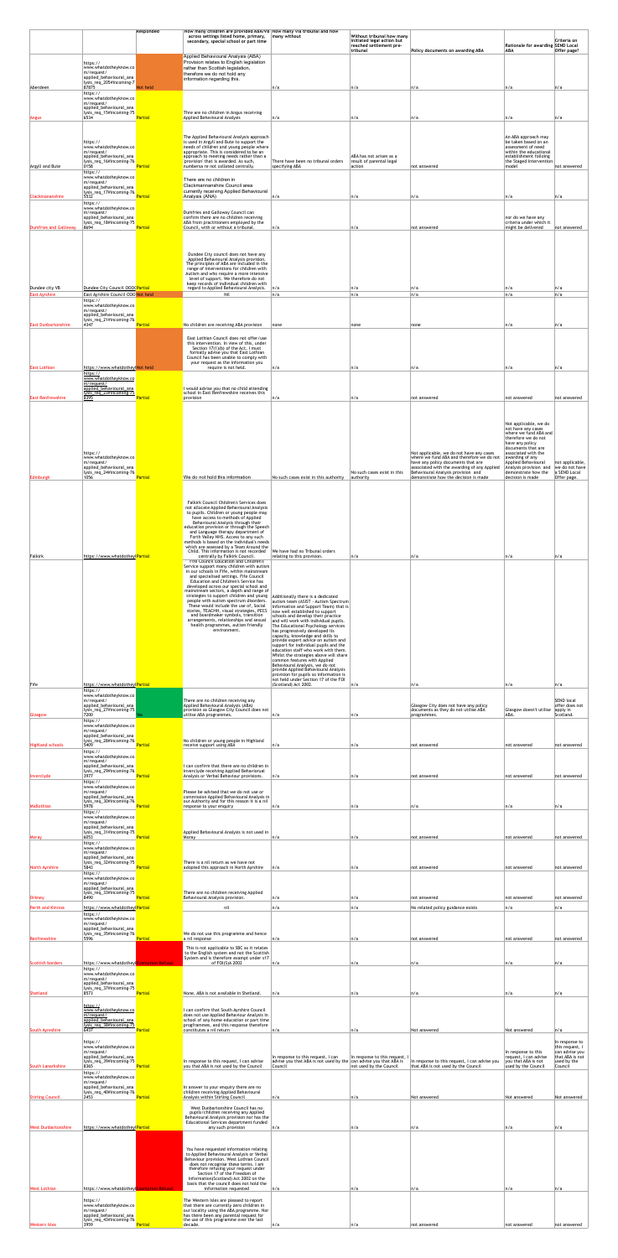|                            |                                                                                            | Responded      | How many children are provided ABA/VB How many via tribunal and how<br>across settings listed home, primary,<br>secondary, special school or part time                       | many without                                                                                                                                             | Without tribunal how many<br>initiated legal action but<br>reached settlement pre- |                                                                                                                                                                 | <b>Rationale for awarding SEND Local</b>                                                       | Criteria on                                                      |
|----------------------------|--------------------------------------------------------------------------------------------|----------------|------------------------------------------------------------------------------------------------------------------------------------------------------------------------------|----------------------------------------------------------------------------------------------------------------------------------------------------------|------------------------------------------------------------------------------------|-----------------------------------------------------------------------------------------------------------------------------------------------------------------|------------------------------------------------------------------------------------------------|------------------------------------------------------------------|
|                            | https://<br>www.whatdotheyknow.co                                                          |                | Applied Behavioural Analysis (ABA)<br>Provision relates to English legislation                                                                                               |                                                                                                                                                          | tribunal                                                                           | Policy documents on awarding ABA                                                                                                                                | <b>ABA</b>                                                                                     | Offer page?                                                      |
|                            | m/request/<br>applied_behavioural_ana<br>lysis_req_205#incoming-7                          |                | rather than Scottish legislation,<br>therefore we do not hold any<br>information regarding this.                                                                             |                                                                                                                                                          |                                                                                    |                                                                                                                                                                 |                                                                                                |                                                                  |
| Aberdeen                   | 87875<br>https://<br>www.whatdotheyknow.co<br>m/request/                                   | Not held       |                                                                                                                                                                              | n/a                                                                                                                                                      | n/a                                                                                | n/a                                                                                                                                                             | n/a                                                                                            | n/a                                                              |
| Angus                      | applied_behavioural_ana<br>lysis_req_15#incoming-75<br>6534                                | <b>Partial</b> | Thre are no children in Angus receiving<br><b>Applied Behavioural Analysis</b>                                                                                               | n/a                                                                                                                                                      | n/a                                                                                | n/a                                                                                                                                                             | n/a                                                                                            | n/a                                                              |
|                            |                                                                                            |                | The Applied Behavioural Analysis approach                                                                                                                                    |                                                                                                                                                          |                                                                                    |                                                                                                                                                                 | An ABA approach may                                                                            |                                                                  |
|                            | https://<br>www.whatdotheyknow.co<br>m/request/<br>applied_behavioural_ana                 |                | is used in Argyll and Bute to support the<br>needs of children and young people where<br>appropriate. This is considered to be an<br>approach to meeting needs rather than a |                                                                                                                                                          | ABA has not arisen as a                                                            |                                                                                                                                                                 | be taken based on an<br>assessment of need<br>within the educational<br>establishment folloing |                                                                  |
| Argyll and Bute            | lysis_req_16#incoming-76<br>0158<br>https://<br>www.whatdotheyknow.co                      | <b>Partial</b> | 'provision' that is awarded. As such,<br>numbersa re not collated centrally.                                                                                                 | There have been no tribunal orders<br>specifying ABA                                                                                                     | result of parental legal<br>action                                                 | not answered                                                                                                                                                    | the Staged Intervention<br>model                                                               | not answered                                                     |
| <b>Clackmananshire</b>     | m/request/<br>applied_behavioural_ana<br>  lysis_req_17#incoming-76<br>5532                | Partial        | There are no children in<br>Clackmannanshire Council area<br>currently receiving Applied Behavioural<br>Analysis (ANA)                                                       | n/a                                                                                                                                                      | n/a                                                                                | n/a                                                                                                                                                             | n/a                                                                                            | n/a                                                              |
|                            | https://<br>www.whatdotheyknow.co<br>m/request/                                            |                | Dumfries and Galloway Council can                                                                                                                                            |                                                                                                                                                          |                                                                                    |                                                                                                                                                                 |                                                                                                |                                                                  |
| Dumfries and Galloway      | applied_behavioural_ana<br>lysis_req_18#incoming-75<br>8694                                | <b>Partial</b> | confirm there are no children receiving<br>ABA from practitioners employed by the<br>Council, with or without a tribunal.                                                    | n/a                                                                                                                                                      | n/a                                                                                | not answered                                                                                                                                                    | nor do we have any<br>criteria under which it<br>might be delivered                            | not answered                                                     |
|                            |                                                                                            |                |                                                                                                                                                                              |                                                                                                                                                          |                                                                                    |                                                                                                                                                                 |                                                                                                |                                                                  |
|                            |                                                                                            |                | Dundee City council does not have any<br>Applied Behavioural Analysis provision.<br>The principles of ABA are included in the<br>range of interventions for children with    |                                                                                                                                                          |                                                                                    |                                                                                                                                                                 |                                                                                                |                                                                  |
| Dundee city VB             | Dundee City Council 000(Partial                                                            |                | Autism and who require a more intensive<br>level of support. We therefore do not<br>keep records of individual children with<br>regard to Applied Behavioural Analysis.      | n/a                                                                                                                                                      | n/a                                                                                | n/a                                                                                                                                                             | n/a                                                                                            | n/a                                                              |
| <b>East Ayrshire</b>       | East Ayrshire Council 000 Not held<br>https://<br>www.whatdotheyknow.co                    |                | Nil                                                                                                                                                                          | n/a                                                                                                                                                      | n/a                                                                                | n/a                                                                                                                                                             | n/a                                                                                            | n/a                                                              |
| <b>East Dunbartonshire</b> | m/request/<br>applied_behavioural_ana<br>lysis_req_21#incoming-76<br>4347                  | Partial        | No children are receiving ABA provision                                                                                                                                      | none                                                                                                                                                     | none                                                                               | none                                                                                                                                                            | n/a                                                                                            | n/a                                                              |
|                            |                                                                                            |                | East Lothian Council does not offer/use<br>this intervention. In view of this, under                                                                                         |                                                                                                                                                          |                                                                                    |                                                                                                                                                                 |                                                                                                |                                                                  |
|                            |                                                                                            |                | Section 17(1)(b) of the Act, I must<br>formally advise you that East Lothian<br>Council has been unable to comply with<br>your request as the information you                |                                                                                                                                                          |                                                                                    |                                                                                                                                                                 |                                                                                                |                                                                  |
| <b>East Lothian</b>        | https://www.whatdotheylNot held<br>https://<br>www.whatdotheyknow.co<br>$m$ /request/      |                | require is not held.                                                                                                                                                         | n/a                                                                                                                                                      | n/a                                                                                | n/a                                                                                                                                                             | n/a                                                                                            | n/a                                                              |
| <b>East Renfrewshire</b>   | applied_behavioural_ana<br><u>lysis_req_23#incoming-75</u><br>8395                         | <b>Partial</b> | I would advise you that no child attending<br>school in East Renfrewshire receives this<br>provision                                                                         | ∣n/a                                                                                                                                                     | n/a                                                                                | not answered                                                                                                                                                    | not answered                                                                                   | not answered                                                     |
|                            |                                                                                            |                |                                                                                                                                                                              |                                                                                                                                                          |                                                                                    |                                                                                                                                                                 | Not applicable, we do                                                                          |                                                                  |
|                            |                                                                                            |                |                                                                                                                                                                              |                                                                                                                                                          |                                                                                    |                                                                                                                                                                 | not have any cases<br>where we fund ABA and<br>therefore we do not                             |                                                                  |
|                            | https://<br>www.whatdotheyknow.co                                                          |                |                                                                                                                                                                              |                                                                                                                                                          |                                                                                    | Not applicable, we do not have any cases<br>where we fund ABA and therefore we do not                                                                           | have any policy<br>documents that are<br>associated with the<br>awarding of any                |                                                                  |
| Edinburgh                  | m/request/<br>applied_behavioural_ana<br>lysis_req_24#incoming-76<br>1056                  | <b>Partial</b> | We do not hold this information                                                                                                                                              | No such cases exist in this authority                                                                                                                    | No such cases exist in this<br>authority                                           | have any policy documents that are<br>associated with the awarding of any Applied<br>Behavioural Analysis provision and<br>demonstrate how the decision is made | Applied Behavioural<br>Analysis provision and<br>demonstrate how the<br>decision is made       | not applicable,<br>we do not have<br>a SEND Local<br>Offer page. |
|                            |                                                                                            |                |                                                                                                                                                                              |                                                                                                                                                          |                                                                                    |                                                                                                                                                                 |                                                                                                |                                                                  |
|                            |                                                                                            |                | <b>Falkirk Council Children's Services does</b><br>not allocate Applied Behavioural Analysis<br>to pupils. Children or young people may<br>have access to methods of Applied |                                                                                                                                                          |                                                                                    |                                                                                                                                                                 |                                                                                                |                                                                  |
|                            |                                                                                            |                | Behavioural Analysis through their<br>education provision or through the Speech<br>and Language therapy department of<br>Forth Valley NHS. Access to any such                |                                                                                                                                                          |                                                                                    |                                                                                                                                                                 |                                                                                                |                                                                  |
|                            |                                                                                            |                | methods is based on the individual's needs<br>which are assessed by a Team Around the<br>Child. This information is not recorded                                             | We have had no Tribunal orders                                                                                                                           |                                                                                    |                                                                                                                                                                 |                                                                                                |                                                                  |
| Falkirk                    | https://www.whatdotheylPartial                                                             |                | centrally by Falkirk Council<br>Fife Council Education and Children's<br>Service support many children with autism<br>in our schools in Fife, within mainstream              | relating to this provision.                                                                                                                              | n/a                                                                                | n/a                                                                                                                                                             | n/a                                                                                            | n/a                                                              |
|                            |                                                                                            |                | and specialised settings. Fife Council<br>Education and Children's Service has<br>developed across our special school and<br>mainstream sectors, a depth and range of        |                                                                                                                                                          |                                                                                    |                                                                                                                                                                 |                                                                                                |                                                                  |
|                            |                                                                                            |                | strategies to support children and young<br>people with autism spectrum disorders.<br>These would include the use of, Social<br>stories, TEACHH, visual strategies, PECS     | Additionally there is a dedicated<br>autism team (ASIST - Autism Spectrum<br>Information and Support Team) that is<br>now well established to support    |                                                                                    |                                                                                                                                                                 |                                                                                                |                                                                  |
|                            |                                                                                            |                | and boardmaker symbols, transition<br>arrangements, relationships and sexual<br>health programmes, autism friendly<br>environment.                                           | schools and develop their practice<br>and will work with individual pupils.<br>The Educational Psychology services<br>has progressively developed its    |                                                                                    |                                                                                                                                                                 |                                                                                                |                                                                  |
|                            |                                                                                            |                |                                                                                                                                                                              | capacity, knowledge and skills to<br>provide expert advice on autism and<br>support for individual pupils and the<br>education staff who work with them. |                                                                                    |                                                                                                                                                                 |                                                                                                |                                                                  |
|                            |                                                                                            |                |                                                                                                                                                                              | Whilst the strategies above will share<br>common features with Applied<br>Behavioural Analysis, we do not<br>provide Applied Behavioural Analysis        |                                                                                    |                                                                                                                                                                 |                                                                                                |                                                                  |
| $ $ Fife                   | https://www.whatdotheylPartial                                                             |                |                                                                                                                                                                              | provision for pupils so information is<br>not held under Section 17 of the FOI<br>(Scotland) Act 2002.                                                   | n/a                                                                                | n/a                                                                                                                                                             | n/a                                                                                            | n/a                                                              |
|                            | https://<br>www.whatdotheyknow.co<br>m/request/<br>applied_behavioural_ana                 |                | There are no children receiving any<br>Applied Behavioural Analysis (ABA)                                                                                                    |                                                                                                                                                          |                                                                                    | Glasgow City does not have any policy                                                                                                                           |                                                                                                | <b>SEND local</b><br>offer does not                              |
| Glasgow                    | lysis_req_27#incoming-75<br>7200<br>https://<br>www.whatdotheyknow.co                      |                | provision as Glasgow City Council does not<br>utilise ABA programmes.                                                                                                        | ∣n/a                                                                                                                                                     | n/a                                                                                | documents as they do not utilise ABA<br>programmes.                                                                                                             | Glasgow doesn't utilise<br>ABA.                                                                | apply in<br>Scotland.                                            |
| <b>Highland schools</b>    | m/request/<br>applied_behavioural_ana<br>lysis_req_28#incoming-76<br>5409                  | <b>Partial</b> | No children or young people in Highland<br>receive support using ABA                                                                                                         | n/a                                                                                                                                                      | n/a                                                                                | not answered                                                                                                                                                    | not answered                                                                                   | not answered                                                     |
|                            | https://<br>www.whatdotheyknow.co <mark>l</mark><br>m/request/                             |                |                                                                                                                                                                              |                                                                                                                                                          |                                                                                    |                                                                                                                                                                 |                                                                                                |                                                                  |
| Inverclyde                 | applied_behavioural_ana<br>lysis_req_29#incoming-76<br>3977<br>https://                    | <b>Partial</b> | I can confirm that there are no children in<br>Inverclyde receiving Applied Behaviorual<br>Analysis or Verbal Behaviour provisions.                                          | n/a                                                                                                                                                      | n/a                                                                                | not answered                                                                                                                                                    | not answered                                                                                   | not answered                                                     |
|                            | www.whatdotheyknow.co<br>m/request/<br>applied_behavioural_ana<br>lysis_req_30#incoming-76 |                | Please be advised that we do not use or<br>commission Applied Behavioural Analysis in<br>our Authority and for this reason it is a nil                                       |                                                                                                                                                          |                                                                                    |                                                                                                                                                                 |                                                                                                |                                                                  |
| Midlothian                 | 5978<br>https://<br>www.whatdotheyknow.co<br>m/request/                                    | Partial        | response to your enquiry                                                                                                                                                     | n/a                                                                                                                                                      | n/a                                                                                | n/a                                                                                                                                                             | n/a                                                                                            | n/a                                                              |
| Moray                      | applied_behavioural_ana<br>lysis_req_31#incoming-75<br>6053                                | <b>Partial</b> | Applied Behavioural Analysis is not used in<br>Moray                                                                                                                         | ∣n/a                                                                                                                                                     | n/a                                                                                | not answered                                                                                                                                                    | not answered                                                                                   | not answered                                                     |
|                            | https://<br>www.whatdotheyknow.co<br>m/request/<br>applied_behavioural_ana                 |                |                                                                                                                                                                              |                                                                                                                                                          |                                                                                    |                                                                                                                                                                 |                                                                                                |                                                                  |
| North Ayrshire             | lysis_req_32#incoming-75<br>5843<br>https://<br>www.whatdotheyknow.co                      | <b>Partial</b> | There is a nil return as we have not<br>adopted this approach in North Ayrshire                                                                                              | n/a                                                                                                                                                      | n/a                                                                                | not answered                                                                                                                                                    | not answered                                                                                   | not answered                                                     |
| <b>Orkney</b>              | m/request/<br>applied_behavioural_ana<br>lysis_req_33#incoming-75<br>8490                  | <b>Partial</b> | There are no children receiving Applied<br>Behavioural Analysis provision.                                                                                                   | ∣n/a                                                                                                                                                     | n/a                                                                                | not answered                                                                                                                                                    | not answered                                                                                   | not answered                                                     |
| <b>Perth and Kinross</b>   | https://www.whatdotheylPartial<br>https://<br>www.whatdotheyknow.co                        |                | nil                                                                                                                                                                          | n/a                                                                                                                                                      | n/a                                                                                | No related policy guidance exists                                                                                                                               | n/a                                                                                            | n/a                                                              |
| Renfrewshire               | m/request/<br>applied_behavioural_ana<br>lysis_req_35#incoming-76<br>5596                  | Partial        | We do not use this programme and hence<br>a nil response                                                                                                                     | ∣n/a                                                                                                                                                     | n/a                                                                                | not answered                                                                                                                                                    | not answered                                                                                   | not answered                                                     |
|                            |                                                                                            |                | This is not applicable to SBC as it relates<br>to the English system and not the Scottish<br>System and is therefore exampt under s17                                        |                                                                                                                                                          |                                                                                    |                                                                                                                                                                 |                                                                                                |                                                                  |
| Scottish borders           | https://www.whatdotheylExemption Refusal<br>https://<br>www.whatdotheyknow.co              |                | of FOI(S)A 2002                                                                                                                                                              | n/a                                                                                                                                                      | n/a                                                                                | n/a                                                                                                                                                             | n/a                                                                                            | n/a                                                              |
| Shetland                   | m/request/<br>applied_behavioural_ana<br>lysis_req_37#incoming-75<br>8573                  | <b>Partial</b> | None, ABA is not available in Shetland.                                                                                                                                      | n/a                                                                                                                                                      | n/a                                                                                | n/a                                                                                                                                                             | n/a                                                                                            | n/a                                                              |
|                            | https://<br>www.whatdotheyknow.co<br>m/request/                                            |                | I can confirm that South Ayrshire Council<br>does not use Applied Behaviour Analysis in                                                                                      |                                                                                                                                                          |                                                                                    |                                                                                                                                                                 |                                                                                                |                                                                  |
| South Ayreshire            | applied behavioural ana<br>lysis req 38#incoming-75<br>6437                                | <b>Partial</b> | school of any home education or part time<br>progframmes, and this response therefore<br>constitutes a nil return                                                            | n/a                                                                                                                                                      | n/a                                                                                | Not answered                                                                                                                                                    | Not answered                                                                                   | n/a                                                              |
|                            | https://<br>www.whatdotheyknow.co<br>m/request/                                            |                |                                                                                                                                                                              |                                                                                                                                                          |                                                                                    |                                                                                                                                                                 | In response to this                                                                            | In response to<br>this request, I<br>can advise you              |
| South Lanarkshire          | applied_behavioural_ana<br> lysis_req_39#incoming-75<br>8365<br>https://                   | <b>Partial</b> | In response to this request, I can advise<br>you that ABA is not used by the Council                                                                                         | In response to this request, I can<br>advise you that ABA is not used by the can advise you that ABA is<br>Council                                       | In response to this request, I<br>not used by the Council                          | In response to this request, I can advise you<br>that ABA is not used by the Council                                                                            | request, I can advise<br>you that ABA is not<br>used by the Council                            | that ABA is not<br>used by the<br>Council                        |
|                            | www.whatdotheyknow.co<br>m/request/<br>applied_behavioural_ana                             |                | In answer to your enquiry there are no                                                                                                                                       |                                                                                                                                                          |                                                                                    |                                                                                                                                                                 |                                                                                                |                                                                  |
| <b>Stirling Council</b>    | lysis_req_40#incoming-76<br>2453                                                           | <b>Partial</b> | children receiving Applied Behavioural<br>Analysis within Stirling Council<br>West Dunbartonshire Council has no                                                             | n/a                                                                                                                                                      | n/a                                                                                | Not answered                                                                                                                                                    | Not answered                                                                                   | Not answered                                                     |
| <b>West Dunbartonshire</b> | https://www.whatdotheylPartial                                                             |                | pupils/children receiving any Applied<br>Behavioural Analysis provision nor has the<br>Educational Services department funded<br>any such provision                          | n/a                                                                                                                                                      | n/a                                                                                | n/a                                                                                                                                                             | n/a                                                                                            | n/a                                                              |
|                            |                                                                                            |                |                                                                                                                                                                              |                                                                                                                                                          |                                                                                    |                                                                                                                                                                 |                                                                                                |                                                                  |
|                            |                                                                                            |                | You have requested information relating<br>to Applied Behavioural Analysis or Verbal<br>Behaviour provision. West Lothian Council<br>does not recognise these terms. I am    |                                                                                                                                                          |                                                                                    |                                                                                                                                                                 |                                                                                                |                                                                  |
|                            |                                                                                            |                | therefore refusing your request under<br>Section 17 of the Freedom of<br>Information(Scotland) Act 2002 on the<br>basis that the council does not hold the                   |                                                                                                                                                          |                                                                                    |                                                                                                                                                                 |                                                                                                |                                                                  |
| <b>West Lothian</b>        | https://www.whatdotheylExemption Refusal<br>https://<br>www.whatdotheyknow.co              |                | information requested<br>The Western Isles are pleased to report<br>that there are currently zero children in                                                                | n/a                                                                                                                                                      | n/a                                                                                | n/a                                                                                                                                                             | n/a                                                                                            | n/a                                                              |
|                            | m/request/<br>applied_behavioural_ana<br>lysis_req_43#incoming-76<br>3959                  | <b>Partial</b> | our locality using the ABA programme. Nor<br>has there been any parental request for<br>the use of this programme over the last<br>decade.                                   | n/a                                                                                                                                                      | n/a                                                                                | not answered                                                                                                                                                    | not answered                                                                                   | not answered                                                     |